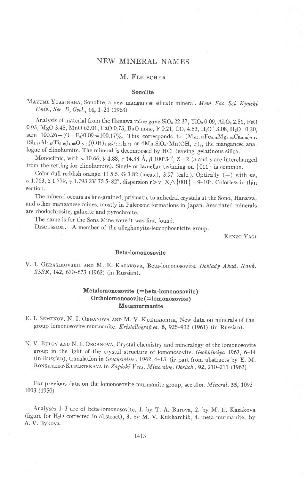# NEW MINERAL NAMES

# M. FLEISCHER

#### Sonolite

MAYUMI YOSHINAGA, Sonolite, a new manganese silicate mineral. Mem. Fac. Sci. Kyushi Univ., Ser. D, Geol., 14, 1-21 (1963)

Analysis of material from the Hanawa mine gave  $SiO<sub>2</sub> 22.37$ ,  $TiO<sub>2</sub> 0.09$ ,  $Al<sub>2</sub>O<sub>3</sub> 2.56$ , FeO 0.93, MgO 3.45, MnO 62.01, CaO 0.73, BaO none, F 0.21, CO2 4.53, H<sub>2</sub>O+ 3.08, H<sub>2</sub>O- 0.30, sum  $100.26-(O=F_2)0.09=100.17\%$ . This corresponds to  $(Mn_{7.80}Fe_{0.16}Mg_{1.05}Ca_{0.16})_{9.17}$  $(Si_{3.45}Al_{0.62}Ti_{0.01})_{4.95}O_{15.91}[(OH)_{1.95}F_{0.14}]_{2.99}$  or  $4Mn_2SiO_4 \cdot Mn(OH, F)_2$ , the manganese analogue of clinohumite. The mineral is decomposed by HCl leaving gelatinous silica.

Monoclinic, with a 10.66, b 4.88, c 14.33 Å,  $\beta$  100°34', Z=2 (a and c are interchanged from the setting for clinohumite). Single or lamellar twinning on  $\{011\}$  is common.

Color dull reddish orange. H 5.5, G 3.82 (meas.), 3.97 (calc.). Optically  $(-)$  with ns,  $\alpha$  1.763,  $\beta$  1.779,  $\gamma$  1.793 2V 75.5-82°, dispersion r>v, X $\wedge$  {001} = 9-10°. Colorless in thin section.

The mineral occurs as fine-grained, prismatic to anhedral crystals at the Sono, Hanawa, and other manganese mines, mostly in Paleozoic formations in Japan. Associated minerals are rhodochrosite, galaxite and pyrochroite

The name is for the Sons Mine were it was first found.

Drscussrox.-A member of the alleghanyite-leucophoenicite group.

KENZO YAGI

## Beta-lomonosovite

V. I. GERASIMOVSKII AND M. E. KAZAKOVA, Beta-lomonosovite. Doklady Akad. Nauk. SSSR, 142, 670-673 (1962) (in Russian).

## Metalomonosovite (= beta-lomonosovite) Ortholomonosovite (= lomonosovite) Metamurmanite

- E. I. SEMENOV, N. I. ORGANOVA AND M. V. KUKHARCHIK, New data on minerals of the group lomonosovite-murmanite. Kristallografiya, 6, 925-932 (1961) (in Russian).
- N. V. BELOV AND N. I. ORGANOVA, Crystal chemistry and mineralogy of the lomonosovite group in the light of the crystal structure of lomonosovite. Geokhimiya 1962, 6-14 (in Russian), translation in  $Geochemistry$  1962, 4-13. (in part from abstracts by E. M. BONSHTEDT-KUPLETSKAYA in Zapiski Vses. Mineralog. Obshch., 92, 210-211 (1963)

For previous data on the lomonosovite-murmanite group, see Am. Mineral. 35, 1092-1093 (1950)

Analyses 1-3 are of beta-iomonosovite, l. by T. A. Burova, 2. by M. E. Kazakova (figure for HzO corrected in abstract), 3. by M. V. Kukharchik, 4. meta-murmanite. by A. V. Bykova.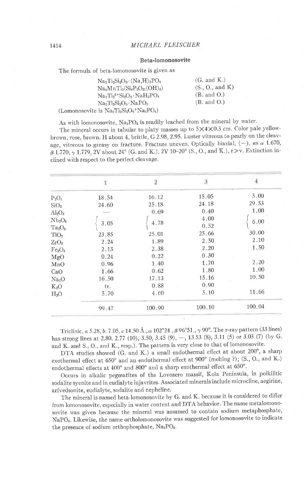## Beta-lomonosovite

The formula of beta-lomonosovite is given as

| $Na2Ti2Si2O9·(Na,H)3PO4$                  | $(G. \text{ and } K.)$ |
|-------------------------------------------|------------------------|
| $Na5MnTi3(Si4P2O21(OH)3)$                 | (S., O., and K)        |
| $Na2Ti23+Si2O8 · NaH2PO4$                 | (B. and O.)            |
| $Na2Ti2Si2O9·NaPO3$                       | $(B. \text{ and } O.)$ |
| (Lomonosovite is $Na2Ti2Si2O9 + Na3PO4$ ) |                        |

As with lomonosovite,  $Na_3PO_4$  is readily leached from the mineral by water.

The mineral occurs in tabular to platy masses up to  $5\times4\times0.3$  cm. Color pale yellowbrown, rose, brown. H about 4, brittle, G 2.98, 2.95. Luster vitreous to pearly on the cleavage, vitreous to greasy on fracture. Fracture uneven. Optically biaxial,  $(-)$ , ns  $\alpha$  1.670,  $\beta$  1.770,  $\gamma$  1.779, 2V about 24° (G. and K.), 2V 10-20° (S., O., and K.), r>v. Extinction inclined with respect to the perfect cleavage.

|                                | $1\,$ | $\overline{2}$ | $\frac{3}{3}$ | 4      |
|--------------------------------|-------|----------------|---------------|--------|
| $P_2O_5$                       | 18.54 | 16.12          | 15.05         | 5.00   |
| SiO <sub>2</sub>               | 24.60 | 25.18          | 24.18         | 29.53  |
| Al <sub>2</sub> O <sub>3</sub> | $=$   | 0.69           | 0.40          | 1.00   |
| Nb <sub>2</sub> O <sub>5</sub> |       |                | 4.00          | 6.00   |
| $Ta_2O_5$                      | 3.05  | 4.78           | 0.52          |        |
| TiO <sub>2</sub>               | 23.85 | 25.01          | 25.66         | 30.00  |
| ZrO <sub>2</sub>               | 2.24  | 1.89           | 2.50          | 2.10   |
| Fe <sub>2</sub> O <sub>3</sub> | 2.13  | 2.38           | 2.20          | 1.50   |
| MgO                            | 0.24  | 0.22           | 0.30          |        |
| MnO                            | 0.96  | 1.40           | 1.70          | 2.20   |
| CaO                            | 1.66  | 0.62           | 1.80          | 1.00   |
| Na <sub>2</sub> O              | 16.50 | 17.13          | 15.16         | 10.50  |
| $K_2O$                         | tr.   | 0.88           | 0.90          |        |
| H <sub>2</sub> O               | 5.70  | 4.60           | 5.10          | 11.66  |
|                                | 99.47 | 100.90         | 100.10        | 100.04 |

Triclinic, a 5.28, b.7.05, c 14.50  $\AA$ .,  $\alpha$  102°24.,  $\beta$  96°51.,  $\gamma$  90°. The x-ray pattern (33 lines) has strong lines at 2.80, 2.77 (10), 3.50, 3.45 (9), -, 13.53 (8), 3.11 (5) or 3.03 (7) (by G. and K. and S., O., and K., resp.). The pattern is very close to that of lomonosovite.

DTA studies showed (G. and K.) a small endothermal effect at about 200°, a sharp exothermal effect at 650'and an endothermal effect at 900' (melting ?); (S., O., and K.) endothermal effects at 400° and 800° and a sharp exothermal effect at 650°.

occurs in alkalic pegmatites of the Lovozero massif, Kola Peninsula, in poikilitic sodalite syenite and in eudialyte lujavrites. Associated minerals include microcline, aegirine, arfvedsonite, eudialyte, sodalite and nepheline.

The mineral is named beta-lomonosovite by G. and K. because it is considered to differ from lomonosovite, especially in water content and DTA behavior. The name metalomonosovite was given because the mineral was assumed to contain sodium metaphosphate, NaPOs. Likewise, the name ortholomonosovite was suggested for lomonosovite to indicate the presence of sodium orthophosphate, Na<sub>3</sub>PO<sub>4</sub>.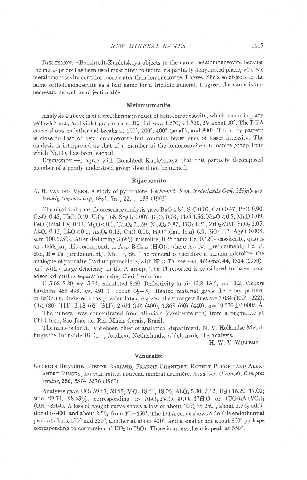## NEW MINERAL NAMES 1415

DrscussroN.-Bonshtedt-Kupletskaya objects to the name metalomonosovite because the meta- prefix has been used most often to indicate a partially dehydrated phase, whereas metalomonosovite contains more water than lomonosovite. I agree. She also objects to the name ortholomonosovite as a bad name for a triclinic mineral. I agree; the name is unnecessary as well as objectionable.

#### Metamurmanite

Analysis 4 above is of a weathering product of beta-lomonosovite, which occurs in platy yellowish-gray and violet-gray masses. Biaxial,  $n_s \propto 1.670$ ,  $\gamma$  1.730, 2V about 30°. The DTA curve shows endothermal breaks at  $100^\circ$ ,  $200^\circ$ ,  $400^\circ$  (small), and  $800^\circ$ . The *x*-ray pattern is close to that of beta lomonosovite but contains fewer lines of lesser intensity The analysis is interpreted as that of a member of the lomonosovite-murmanite group from which NaPO<sub>3</sub> has been leached.

DISCUSSION -I agree with Bonshtedt-Kupletskaya that this partially decomposed member of a poorly understood group should not be named.

#### Rijkeboerite

A. H. VAN DER VEEN. A study of pyrochlore. Verhandel. Kon. Nederlands Geol. Mijnbouwkundig Genootschap, Geol. Ser.,  $22$ ,  $1-188$  (1963).

Chemical and  $x$ -ray fluorescence analysis gave BaO 4.85, SrO 0.09, CaO 0.47, PbO 0.90,  $Ce<sub>2</sub>O<sub>3</sub> 0.45, ThO<sub>2</sub> 0.19, U<sub>3</sub>O<sub>8</sub> 1.68, Sb<sub>2</sub>O<sub>8</sub> 0.007, Bi<sub>2</sub>O<sub>3</sub> 0.03, Tl<sub>2</sub>O 1.56, Na<sub>2</sub>O<0.5, MnO 0.09,$ FeO (total Fe) 0.93, MgO < 0.1, Ta<sub>2</sub>O<sub>5</sub> 71.59, Nb<sub>2</sub>O<sub>5</sub> 5.87, TiO<sub>2</sub> 1.21, ZrO<sub>2</sub> < 0.1, SnO<sub>2</sub> 2.05, Al<sub>2</sub>O<sub>3</sub> 0.42, Li<sub>2</sub>O < 0.1, As<sub>2</sub>O<sub>3</sub> 0.12, CuO 0.06, H<sub>2</sub>O<sup>+</sup> (ign. loss) 6.9, SiO<sub>2</sub> 1.2, Ag<sub>2</sub>O 0.008, sum 100.675%. After deducting  $3.68\%$  microlite, 0.26 tantalite, 0.12% cassiterite, quartz and feldspar, this corresponds to  $A_{0.35}$   $B_2O_{5.32}$  (H<sub>2</sub>O)<sub>2</sub>, where A=Ba (predominant), Fe, U, etc.,  $B=Ta$  (predominant), Nb, Ti, Sn. The mineral is therefore a barium microlite, the analogue of pandaite (barium pyrochlore, with  $Nb$ ) Ta, see Am, Mineral. 44, 1324 (1959)) and with a large deficiency in the A group. The Tl reported is considered to have been adsorbed during separation using Clerici solution.

G 5.68-5.80, av. 5.71, calculated 5.60. Reflectivity in air 12.8-13.6, av. 13.2. Vickers hardness 485-498, av. 491 (=about  $4\frac{1}{2}$ -5). Heated material gives the x-ray pattern of BaTa<sub>4</sub>O<sub>11</sub>. Indexed x-ray powder data are given, the strongest lines are 3.034 (100) (222), 6.04 (80) (111), 3.18 (65) (311), 2.631 (60) (400), 1.865 (60) (440).  $a=10.570\pm0.0005$  Å.

The mineral was concentrated from alluvials (cassiterite rich) from a pegmatite at Chi-Chico, São João del Rei, Minas Gerais, Brazil.

The name is for A. Rijkeboer, chief of analytical department, N. V. Hollandse Metallurgische Industrie Billiton, Arnhem, Netherlands, which made the analysis.

H. W. V. WILLEMS

#### Vanuralite

GEORGES BRANCHE, PIERRE BARIAND, FRANCIS CHANTRET, ROBERT POUGET AND ALEX-ANDRE RIMSKY, La vanuralite, nouveau minéral uranifère. Acad. sci. (France), Comptes rendus, 256, 5374-5376 (1963)

Analyses gave UO<sub>3</sub> 59.63, 58.45; V<sub>2</sub>O<sub>5</sub> 18.61, 18.06; Al<sub>2</sub>O<sub>3</sub> 5.30, 5.12; H<sub>2</sub>O 16.20, 17.00; sum 99.74, 98.63%, corresponding to  $A_{12}O_3.2V_2O_6.4UO_3.17H_2O$  or  $(UO_2)_2A1(VO_4)_2$ (OH)  $8H_2O$ . A loss of weight curve shows a loss of about 10% to 250°, about 3.5% additional to 400° and about 2.5% from 400-450°. The DTA curve shows a double endothermal peak at about 170' and 220" , another at about 420", and a smaller one about 800' perhaps corresponding to conversion of  $UO_2$  to  $U_3O_8$ . There is an exothermic peak at 550°.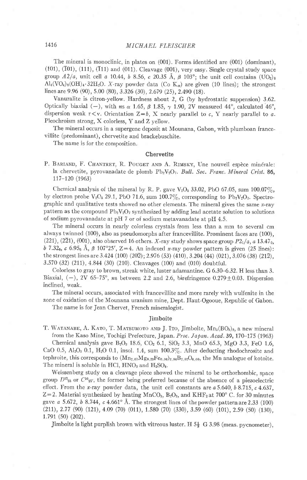## 1416 MICHAEL FLEISCHER

The mineral is monoclinic, in plates on (001). Forms identified are (001) (dominant),  $(101)$ ,  $(101)$ ,  $(111)$ ,  $(111)$  and  $(011)$ . Cleavage  $(001)$ , very easy. Single crystal study space group  $A2/a$ , unit cell a 10.44, b 8.56, c 20.35 Å,  $\beta$  103°; the unit cell contains (UO<sub>2</sub>)<sub>8</sub>  $\text{Al}_4(\text{VO}_4)_8(\text{OH})_4$ . 32H<sub>2</sub>O. X-ray powder data (Co K<sub>α</sub>) are given (10 lines); the strongest lines are 9.96 (90), 5.00 (80), 3.326 (30), 2.679 (25), 2.490 (18).

Vanuralite is citron-yellow. Hardness about 2, G (by hydrostatic suppension) 3.62. Optically biaxial (-), with  $n s \alpha$  1.65,  $\beta$  1.85,  $\gamma$  1.90, 2V measured 44°, calculated 46°, dispersion weak  $r\leq v$ . Orientation  $Z=b$ , X nearly parallel to c, Y nearly parallel to a. Pleochroism strong, X colorless, Y and Z yellow.

The mineral occurs in a supergene deposit at Mounana, Gabon, with plumboan francevillite (predominant), chervetite and brackebuschite.

The name is for the composition.

### **Chervetite**

P. BARIAND, F. CHANTRET, R. POUGET AND A. RIMSKY, Une nouvell espèce minérale: la chervetite, pyrovanadate de plomb  $Pb_2V_2O_7$ . Bull. Soc. Franc. Mineral Crist. 86, 117-120 (1963)

Chemical analysis of the mineral by R. P. gave  $V_2O_5$  33.02, PbO 67.05, sum 100.07%, by electron probe  $V_2O_5$  29.1, PbO 71.6, sum 100.7%, corresponding to Pb<sub>2</sub>V<sub>2</sub>O<sub>7</sub>. Spectrographic and qualitative tests showed no other elements. The mineral gives the same  $x$ -ray pattern as the compound  $Pb_2V_2O_7$  synthesized by adding lead acetate solution to solutions of sodium pyrovanadate at pH 7 or of sodium metavanadate at pH 4.5.

The mineral occurs in nearly colorless crystals from less than a mm to several cm always twinned (100), also as pseudomorphs after francevillite. Prominent faces are (100), (221), (2 $\bar{2}$ 1), (001), also observed 16 others. *X*-ray study shows space group  $P2_{1}/a$ , *a* 13.47 $_0$ ,  $b$  7.32<sub>6</sub>,  $\epsilon$  6.95<sub>6</sub> Å,  $\beta$  107°25', Z=4. An indexed x-ray powder pattern is given (25 lines): the strongest lines are 3.424 (100) (202); 2.976 (53) (410), 3.204 (44) (021), 3.076 (38) (212), 3.570 (32) (211), 4.844 (30) (210). Cleavages (100) and (010) doubtful.

Colorless to gray to brown, streak white, luster adamantine. G 6.30–6.32. H less than 3. Biaxial,  $(-)$ , 2V 65-75°, ns between 2.2 and 2.6, birefringence 0.279  $\pm$ 0.03. Dispersion inclined, weak.

The mineral occurs, associated with francevillite and more rarely with wulfenite in the zone of oxidation of the Mounana uranium mine, Dept. Haut-Ogooue, Republic of Gabon.

The name is for Jean Chervet, French mineralogist.

## Jimboite

T. WATANABE, A. KATO, T. MATSUMOTO AND J. ITO, Jimboite,  $Mn_3(BO_8)_2$ , a new mineral from the Kaso Mine, Tochigi Prefecture, Japan. Proc. Japan. Acad. 39, 170-175 (1963)

Chemical analysis gave  $B_2O_3$  18.6,  $CO_2$  6.1,  $SiO_2$  3.3, MnO 65.3, MgO 3.3, FeO 1.6, CaO 0.5, Al<sub>2</sub>O<sub>3</sub> 0.1, H<sub>2</sub>O 0.1, insol. 1.4, sum 100.3%. After deducting rhodochrosite and tephroite, this corresponds to  $(Mn_{2.67}Mg_{0.23}Fe_{0.06})_{2.96}B_{2.02}O_{6.00}$ , the Mn analogue of kotoite. The mineral is soluble in HCl,  $HNO<sub>3</sub>$  and  $H<sub>2</sub>SO<sub>4</sub>$ .

Weissenberg study on a cleavage piece showed the mineral to be orthorhombic, space group  $D^{12}_{2h}$  or  $C^{10}_{2V}$ , the former being preferred because of the absence of a piezoelectric effect. From the x-ray powder data, the unit cell constants are  $a\,5.640, b\,8.715, c\,4.637,$ Z=2. Material synthesized by heating MnCO<sub>3</sub>, B<sub>2</sub>O<sub>3</sub>, and KHF<sub>2</sub> at 700° C. for 30 minutes gave a 5.672, b 8.744, c 4.661° Å. The strongest lines of the powder pattern are 2.33 (100) (211), 2.77 (90) (121), 4.09 (70) (011), 1.580 (70) (330), 3.59 (60) (101), 2.59 (50) (130), 1.7e1 (so) (202).

Jimboite is light purplish brown with vitreous luster. H  $5\frac{1}{2}$  G 3.98 (meas. pycnometer),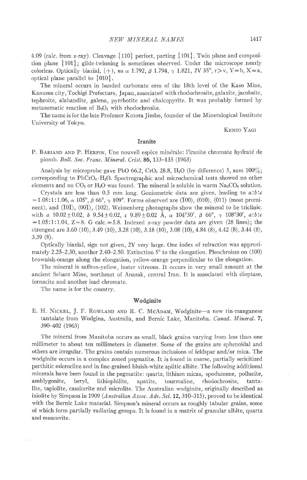4.09 (calc. from x-ray). Cleavage  $\{110\}$  perfect, parting  $\{101\}$ . Twin plane and composition plane  $\{101\}$ ; glide-twinning is sometimes observed. Under the microscope nearly colorless. Optically biaxial, (+), ns  $\alpha$  1.792,  $\beta$  1.794,  $\gamma$  1.821, 2V 35°, r>v, Y=b, X=a, optical plane parallel to  $\{010\}$ .

The mineral occurs in banded carbonate ores of the 18th level of the Kaso Mine, Kanuma city, Tochigi Prefecture, Japan, associated with rhodochrosite, galaxite, jacobsite, tephroite, alabandite, galena, pyrrhotite and chalcopyrite. It was probably formed by metasomatic reaction of  $B_2O_3$  with rhodochrosite.

The name is for the late Professor Kotora Jimbo, founder of the Mineralogical Institute University of Tokyo.

## KENZO YAGI

## Iranite

P. BARIAND AND P. HERPIN, Une nouvell espèce minérale: l'iranite chromate hydraté de plomb. Bull. Soc. Franc. Mineral. Crist. 86, 133-135 (1963)

Analysis by microprobe gave PbO 66.2, CrO<sub>3</sub> 28.8, H<sub>2</sub>O (by difference) 5, sum  $100\%$ ; corresponding to  $PbCrO<sub>4</sub>·H<sub>2</sub>O$ . Spectrographic and microchemical tests showed no other elements and no  $CO_2$  or  $H_2O$  was found. The mineral is soluble in warm  $Na_2CO_8$  solution.

Crystals are less than 0.5 mm long. Goniometric data are given, leading to  $a:b:c$ =1.08:1:1.06,  $\alpha$  105°,  $\beta$  66°,  $\gamma$  109°. Forms observed are (T00), (010), (011) (most prominent), and (T0T), (00T), (102). Weissenberg photographs show the mineral to be triclinic. with a  $10.02 \pm 0.02$ , b  $9.54 \pm 0.02$ , c  $9.89 \pm 0.02$  Å,  $\alpha$   $104^{\circ}30'$ ,  $\beta$  66°,  $\gamma$  108°30', a:b:c  $=1.05:1:1.04$ ,  $Z=8$ . G calc. $=5.8$ . Indexed x-ray powder data are given (28 lines); the strongest are 3.60 (10), 3.49 (10), 3.28 (10), 3.18 (10), 3.08 (10), 4.84 (8), 4.42 (8), 3.44 (8), 3.3e (8).

Optically biaxial, sign not given, 2V very large. One index of refraction was approximately 2.25-2.30, another 2.40-2.50. Extinction  $5^{\circ}$  to the elongation. Pleochroism on (100) brownish-orange along the elongation, yellow-orange perpendicular to the elongation.

'Ihe mineral is saffron-yellow, luster vitreous. It occurs in very small amount at the ancient Sebarz Mine, northeast of Anarak, central Iran. It is associated with dioptase, fornacite and another lead chromate.

The name is for the country

#### Wodginite

E. H. NICKEL, J. F. ROWLAND AND R. C. McADAM, Wodginite-a new tin-manganese tantalate from Wodgina, Australia, and Bernic Lake, Manitoba. Canad. Mineral. 7, 390-402 1963\

The mineral from Manitoba occurs as small, black grains varying from less than one millimeter to about ten millimeters in diameter. Some of the grains are sphenoidal and others are irregular. The grains contain numerous inclusions of feldspar and/or mica. The wodginite occurs in a complex zoned pegmatite. It is found in coarse, partially sericitized perthitic microcline and in fine-grained bluish-white apiitic albite. The following additional minerals have been found in the pegrnatite: quartz, lithium micas, spodumene, pollucite, amblygonite, beryl, lithiophilite, apatite, tourmaline, rhodochrosite, tantalite, tapiolite, cassiterite and microlite. The Australian wodginite, originally described as ixiolite by Simpson in 1909 (Australian Assoc. Adv. Sci. 12, 310–315), proved to be identical with the Bernic Lake material. Simpson's mineral occurs as roughly tabular grains, some of which form partially radiating groups It is found in a matrix of granular albite, quartz and muscovite.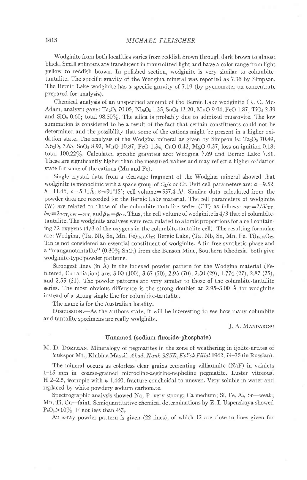Wodginite from both localities varies from reddish brown through dark brown to almost black. Small splinters are translucent in transmitted light and have a color range from light yellow to reddish brown. In polished section, wodginite is very similar to columbitetantalite. The specific gravity of the Wodgina mineral was reported as 7.36 by Simpson. The Bernic Lake wodginite has a specific gravity of 7.19 (by pycnometer on concentrate prepared for analysis).

Chemical analysis of an unspecified amount of the Bernic Lake wodginite (R. C. Mc-Adam, analyst) gave: Ta<sub>2</sub>O<sub>5</sub> 70.05, Nb<sub>2</sub>O<sub>5</sub> 1.35, SnO<sub>2</sub> 13.20, MnO 9.04, FeO 1.87, TiO<sub>2</sub> 2.39 and  $SiO<sub>2</sub> 0.60$ ; total 98.50%. The silica is probably due to admixed muscovite. The low summation is considered to be a result of the fact that certain constituents could not be determined and the possibility that some of the cations might be present in a higher oxidation state. The analysis of the Wodgina mineral as given by Simpson is:  $Ta_2O_5$  70.49, Nb<sub>2</sub>O<sub>5</sub> 7.63, SnO<sub>2</sub> 8.92, MnO 10.87, FeO 1.34, CaO 0.42, MgO 0.37, loss on ignition 0.18; total  $100.22\%$ . Calculated specific gravities are: Wodgina 7.69 and Bernic Lake 7.81. These are significantly higher than the measured values and may reflect a higher oxidation state for some of the cations (Mn and Fe).

Single crystal data from a cleavage fragment of the Wodgina mineral showed that wodginite is monoclinic with a space group of  $C_2/c$  or Cc. Unit cell parameters are:  $a=9.52$ ,  $b=11.46$ ,  $c=5.11\text{\AA}$ ;  $\beta=91^{\circ}15'$ ; cell volume=557.4  $\text{\AA}^3$ . Similar data calculated from the powder data are recorded for the Bernic Lake material. The cell parameters of wodginite (W) are related to those of the columbite-tantalite series (CT) as follows:  $a_W = 2/3b_{CT}$ ,  $bw \equiv 2a_{\text{CT}}$ ,  $c_W \equiv c_{\text{CT}}$ , and  $\beta_W \equiv \beta_{\text{CT}}$ . Thus, the cell volume of wodginite is 4/3 that of columbitetantalite. The wodginite analyses were recalculated to atomic proportions for a cell containing 32 oxygens  $(4/3)$  of the oxygens in the columbite-tantalite cell). The resulting formulae are: Wodgina, (Ta, Nb, Sn, Mn, Fe) $_{15.78}$ O<sub>32</sub>; Bernic Lake, (Ta, Nb, Sn, Mn, Fe, Ti) $_{15.85}$ O<sub>32</sub>. Tin is not considered an essential constituent of wodginite. A tin-free synthetic phase and a "manganotantalite"  $(0.30\% SnO<sub>2</sub>)$  from the Benson Mine, Southern Rhodesia both give wodginite-type powder patterns.

Strongest lines (in  $\AA$ ) in the indexed powder pattern for the Wodgina material (Fefiltered, Co radiation) are:  $3.00 (100)$ ,  $3.67 (70)$ ,  $2.95 (70)$ ,  $2.50 (29)$ ,  $1.774 (27)$ ,  $2.87 (25)$ , and 2.55 (21). The powder patterns are very similar to those of the columbite-tantalite series. The most obvious difference is the strong doublet at  $2.95-3.00 \text{ Å}$  for wodginite instead of a strong single line for columbite-tantalite.

The name is for the Australian locality.

DISCUSSION.-As the authors state, it will be interesting to see how many columbite and tantalite specimens are really wodginite.

J. A. MANDARINO

#### Unnamed (sodium fluoride-phosphate)

M. D. DORFMAN, Mineralogy of pegmatites in the zone of weathering in ijolite-urtites of Yukspor Mt., Khibina Massif. Akad. Nauk SSSR, Kol'sk Filial 1962, 74-75 (in Russian).

The mineral occurs as colorless clear grains cementing villiaumite (NaF) in veinlets 1-15 mm in coarse-grained microcline-aegirine-nepheline pegmatite. Luster vitleous. H 2-2.5, isotropic with  $n \neq 1.460$ , fracture conchoidal to uneven. Very soluble in water and replaced by white powdery sodium carbonate.

Spectrographic analysis showed Na, P- very strong; Ca medium; Si, Fe, Al, Sr—weak; Mn, Ti, Cu-faint. Semiquantitative chemical determinations by E. I. Uspenskaya showed  $P_2O_5 > 10\%$ , F not less than  $4\%$ .

An *x*-ray powder pattern is given (22 lines), of which 12 are close to lines given for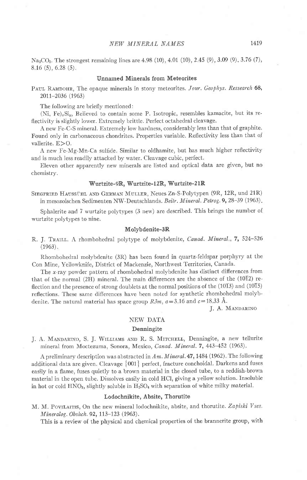$Na_2CO_3$ . The strongest remaining lines are 4.98 (10), 4.01 (10), 2.45 (9), 3.09 (9), 3.76 (7), 8.16 (s),6.28 (s).

#### Unnamed Minerals from Meteorites

PAUL RAMDOHR, The opaque minerals in stony meteorites. Jour. Geophys. Ressearch 68, 2011-2036 (1963)

The following are briefly mentioned:

(Ni, Fe)<sub>z</sub>Si<sub>y</sub>, Believed to contain some P. Isotropic, resembles kamacite, but its reflectivity is slightly lower. Extremely brittle. Perfect octahedral cleavage.

A new Fe C-S mineral- Extremely low hardness, considerably less than that of graphite. Found only in carbonaceous chondrites. Properties variable. Reflectivity less than that of vallerite.  $E>0$ .

A new Fe-Mg-Mn-Ca sulfide. Similar to oldhamite, but has much higher reflectivity and is much less readily attacked by water. Cleavage cubic, perfect.

Eleven other apparently new minerals are listed and optical data are given, but no chemistry.

#### Wurtzite-9R, Wurtzite-I2R, Wurtzite-2lR

SIEGERIED HAUSSÜHL AND GERMAN MULLER, Neues Zn-S-Polytypen (9R, 12R, und 21R) in mesozoischen Sedimenten NW-Deutschlands. Beitr. Minerol. Petrog.9,28-39 (1963).

Sphalerite and 7 wurtzite polytypes (3 new) are described. This brings the number of wurtzite polytypes to nine.

#### Molybdenite-3R

R. J. TRAILL. A rhombohedral polytype of molybdenite, Canad. Mineral., 7, 524-526  $(1963)$ .

Rhombohedral molybdenite (3R) has been found in quartz-feldspar porphyry at the Con Mine, Yellowknife, District of Mackenzie, Northwest Territories, Canada.

The  $x$ -ray powder pattern of rhombohedral molybdenite has distinct differences from that of the normal (2H) mineral. The main difierences are the absence of the (1012) reflection and the presence of strong doublets at the normal positions of the (10T3) and (10T5) reflections. These same difierences have been noted for synthetic rhombohedral molybdenite. The natural material has space group  $R3m$ ,  $a=3.16$  and  $c=18.33$  Å.

J. A. MANDARINO

# NEW DATA

#### Denningite

J. A. MANDARINO, S. J. WILLIAMS AND R. S. MITCHELL, Denningite, a new tellurite mineral from Moctezuma, Sonora, Mexico, Canad. Mineral. 7, 443-452 (1963).

A preliminary description was abstracted in Am. Mineral. 47, 1484 (1962). The following additional data are given. Cleavage  $\{001\}$  perfect, fracture conchoidal. Darkens and fuses easily in a flame, fuses quietly to a brown material in the closed tube, to a reddish-brown material in the open tube. Dissolves easily in cold HCl, giving a yellow solution. Insoluble in hot or cold  $HNO<sub>3</sub>$ , slightly soluble in  $H<sub>2</sub>SO<sub>4</sub>$  with separation of white milky material.

## Lodochnikite, Absite, Thorutite

M. M. PoviLAITIS, On the new mineral lodochnikite, absite, and thorutite. Zapiski Vses. Mineralog. Obshch. 92, 113-123 (1963).

This is a review of the physical and chemicai properties of the brannerite group, with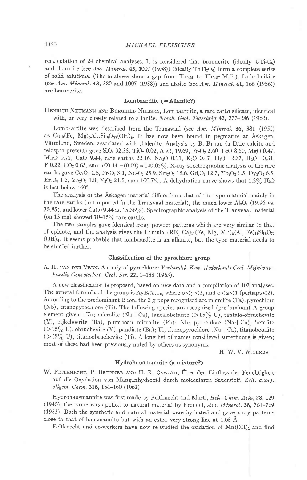recalculation of 24 chemical analyses. It is considered that brannerite (ideally  $UTi<sub>2</sub>O<sub>6</sub>$ ) and thorutite (see Am. Mineral. 43, 1007 (1958)) (ideally ThTi<sub>2</sub>O<sub>6</sub>) form a complete series of solid solutions. (The analyses show a gap from  $Th_{0.21}$  to Th<sub>0.87</sub> M.F.). Lodochnikite (see Am. Mineral. 43, 380 and 1007 (1958)) and absite (see Am. Mineral. 41, 166 (1956)) are brannerite.

#### Lombaardite  $( =$  Allanite?)

HENRICH NEUMANN AND BORGHILD NILSSEN, Lombaardite, a rare earth silicate, identical with, or very closely related to allanite. Norsk. Geol. Tidsskrift 42, 277-286 (1962).

Lombaardite was described from the Transvaal (see  $Am.$  Mineral, 36, 381 (1951) as  $Ca_{10}(Fe, Mg)_{5}Al_{27}Si_{18}O_{89}(OH)_{6}$ . It has now been bound in pegmatite at Åskagen, Viirmland, Sweden, associated with thalenite. Analysis by B. Bruun (a little calcite and feldspar present) gave SiO<sub>2</sub> 32.35, TiO<sub>2</sub> 0.02, Al<sub>2</sub>O<sub>3</sub> 19.69, Fe<sub>2</sub>O<sub>3</sub> 2.60, FeO 8.60, MgO 0.47, MnO 0.72, CaO 9.44, rare earths 22.16, Na<sub>2</sub>O 0.11, K<sub>2</sub>O 0.47, H<sub>2</sub>O<sup>+</sup> 2.37, H<sub>2</sub>O<sup>-</sup> 0.31, F 0.22, CO<sub>2</sub> 0.63, sum 100.14 – (0.09) = 100.05%. X-ray spectrographic analysis of the rare earths gave Ce<sub>2</sub>O<sub>3</sub> 4.8, Pr<sub>2</sub>O<sub>3</sub> 3.1, Nd<sub>2</sub>O<sub>3</sub> 25.9, Sm<sub>2</sub>O<sub>3</sub> 18.6, Gd<sub>2</sub>O<sub>3</sub> 12.7, Tb<sub>2</sub>O<sub>3</sub> 1.5, Dy<sub>2</sub>O<sub>3</sub> 6.5, Er<sub>2</sub>O<sub>3</sub> 1.3, Yb<sub>2</sub>O<sub>3</sub> 1.8, Y<sub>2</sub>O<sub>3</sub> 24.5, sum 100.7%. A dehydration curve shows that 1.2% H<sub>2</sub>O is lost below  $460^\circ$ .

The analysis of the Askagen material differs from that of the type material mainly in the rare earths (not reported in the Transvaal material), the much lower  $Al_2O_3$  (19.96 vs. 35.85), and lower CaO (9.44 zrs. 15.36%) . Spectrographic analysis of the Transvaal material (on 13 mg) showed  $10-15\%$  rare earths.

The two samples gave identical  $x$ -ray powder patterns which are very similar to that of epidote, and the analysis gives the formula (RE, Ca)<sub>11</sub>(Fe, Mg, Mn)<sub>5</sub>(Al, Fe)<sub>14</sub>Si<sub>18</sub>O<sub>72</sub>  $(OH)$ <sub>6</sub>. It seems probable that lombaardite is an allanite, but the type material needs to be studied further.

### Classification of the pyrochlore group

A. H. VAN DER VEEN. A study of pyrochlore: Verhandel. Kon. Nederlands Geol. Mijnbouw $kundig Genootschap. Geol. Ser. 22, 1-188 (1963).$ 

A new classification is proposed, based on new data and a compilation of 107 analyses. The general formula of the group is  $\text{AyB}_2X_{7-x}$ , where  $0 < y < 2$ , and  $0 < z < 1$  (perhaps < 2). According to the predominant B ion, the 3 groups recognized are microlite (Ta), pyrochlore (Nb), titanopyrochlore (Ti). The following species are recognized (predominant A group element given): Ta; microlite (Na+Ca), tantalobetafite (>15% U), tantalo-obruchevite (Y), rijkeboerite (Ba), plumboan microlite (Pb); Nb; pyrochlore (Na+Ca), betafite  $(>15\%$  U), obruchevite (Y), pandiate (Ba); Ti; titanopyrochlore (Na+Ca), titanobetafite  $(>15\%$  U), titanoobruchevite (Ti). A long list of names considered superfluous is given; most of these had been previously noted by others as synonyms.

H. W. V. WILLEMS

### Ilydrohausmannite (a mixture?)

W. FEITKNECHT, P. BRUNNER AND H. R. Oswald, Über den Einfluss der Feuchtigkeit auf die Oxydation von Manganhydroxid durch molecularen Sauerstoff. Zeit. anorg. allgem. Chem. 316, 154-160 (1962)

Hydrohausmannite was first made by Feitknecht and Marti, Helv. Chim. Acta, 28, 129 (1945); the name was applied to natural material by Frondel, Am. Mineral. 38, 761-769  $(1953)$ . Both the synthetic and natural material were hydrated and gave x-ray patterns close to that of hausmannite but with an extra very strong line at 4.65 A.

Feitknecht and co-workers have now re-studied the oxidation of  $\text{Mn}(\text{OH})_2$  and find